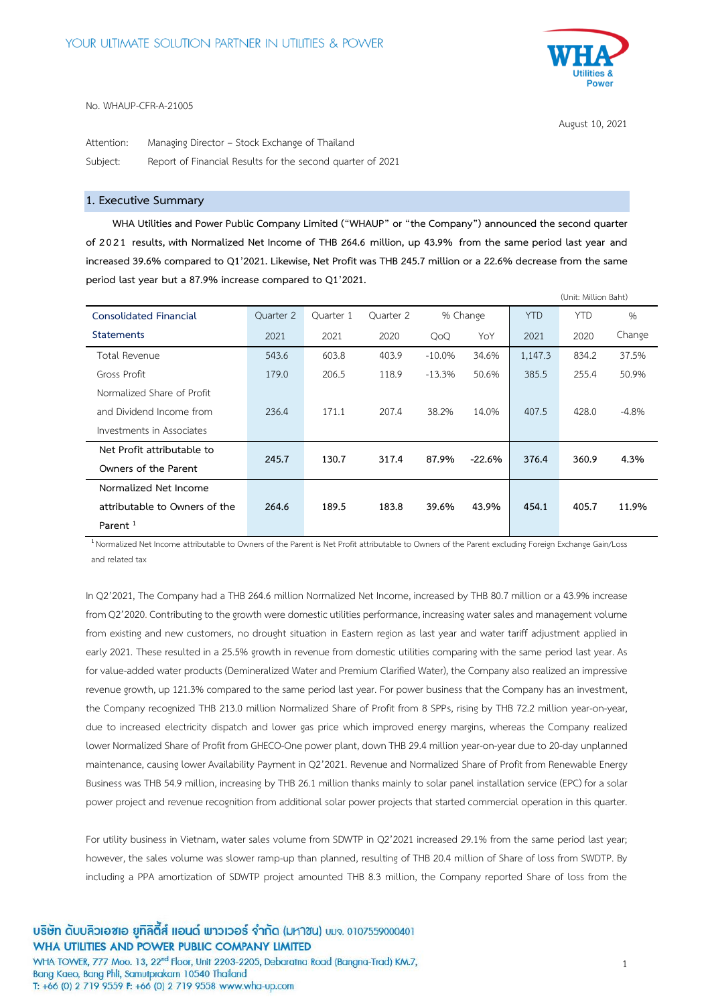

August 10, 2021

(Unit: Million Baht)

No. WHAUP-CFR-A-21005

Attention: Managing Director – Stock Exchange of Thailand Subject: Report of Financial Results for the second quarter of 2021

# **1. Executive Summary**

**WHA Utilities and Power Public Company Limited ("WHAUP" or "the Company") announced the second quarter of 2021 results, with Normalized Net Income of THB 264.6 million, up 43.9% from the same period last year and increased 39.6% compared to Q1'2021. Likewise, Net Profit was THB 245.7 million or a 22.6% decrease from the same period last year but a 87.9% increase compared to Q1'2021.**

|                               |           |           |           |           |          |            | (Unit: Million Bant) |               |
|-------------------------------|-----------|-----------|-----------|-----------|----------|------------|----------------------|---------------|
| Consolidated Financial        | Ouarter 2 | Ouarter 1 | Quarter 2 |           | % Change | <b>YTD</b> | <b>YTD</b>           | $\frac{0}{0}$ |
| <b>Statements</b>             | 2021      | 2021      | 2020      | QoQ       | YoY      | 2021       | 2020                 | Change        |
| Total Revenue                 | 543.6     | 603.8     | 403.9     | $-10.0\%$ | 34.6%    | 1,147.3    | 834.2                | 37.5%         |
| Gross Profit                  | 179.0     | 206.5     | 118.9     | $-13.3%$  | 50.6%    | 385.5      | 255.4                | 50.9%         |
| Normalized Share of Profit    |           |           |           |           |          |            |                      |               |
| and Dividend Income from      | 236.4     | 171.1     | 207.4     | 38.2%     | 14.0%    | 407.5      | 428.0                | $-4.8%$       |
| Investments in Associates     |           |           |           |           |          |            |                      |               |
| Net Profit attributable to    | 245.7     | 130.7     | 317.4     |           |          |            |                      |               |
| Owners of the Parent          |           |           |           | 87.9%     | $-22.6%$ | 376.4      | 360.9                | 4.3%          |
| Normalized Net Income         |           |           |           |           |          |            |                      |               |
| attributable to Owners of the | 264.6     | 189.5     | 183.8     | 39.6%     | 43.9%    | 454.1      | 405.7                | 11.9%         |
| Parent <sup>1</sup>           |           |           |           |           |          |            |                      |               |

**1** Normalized Net Income attributable to Owners of the Parent is Net Profit attributable to Owners of the Parent excluding Foreign Exchange Gain/Loss and related tax

In Q2'2021, The Company had a THB 264.6 million Normalized Net Income, increased by THB 80.7 million or a 43.9% increase from Q2'2020. Contributing to the growth were domestic utilities performance, increasing water sales and management volume from existing and new customers, no drought situation in Eastern region as last year and water tariff adjustment applied in early 2021. These resulted in a 25.5% growth in revenue from domestic utilities comparing with the same period last year. As for value-added water products (Demineralized Water and Premium Clarified Water), the Company also realized an impressive revenue growth, up 121.3% compared to the same period last year. For power business that the Company has an investment, the Company recognized THB 213.0 million Normalized Share of Profit from 8 SPPs, rising by THB 72.2 million year-on-year, due to increased electricity dispatch and lower gas price which improved energy margins, whereas the Company realized lower Normalized Share of Profit from GHECO-One power plant, down THB 29.4 million year-on-year due to 20-day unplanned maintenance, causing lower Availability Payment in Q2'2021. Revenue and Normalized Share of Profit from Renewable Energy Business was THB 54.9 million, increasing by THB 26.1 million thanks mainly to solar panel installation service (EPC) for a solar power project and revenue recognition from additional solar power projects that started commercial operation in this quarter.

For utility business in Vietnam, water sales volume from SDWTP in Q2'2021 increased 29.1% from the same period last year; however, the sales volume was slower ramp-up than planned, resulting of THB 20.4 million of Share of loss from SWDTP. By including a PPA amortization of SDWTP project amounted THB 8.3 million, the Company reported Share of loss from the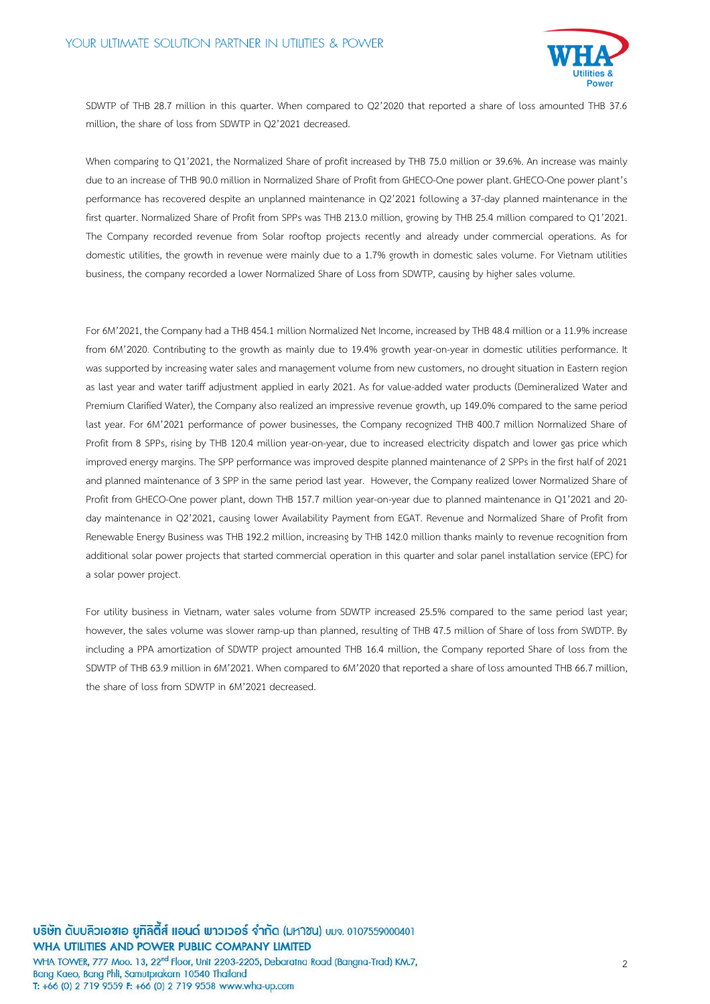

SDWTP of THB 28.7 million in this quarter. When compared to Q2'2020 that reported a share of loss amounted THB 37.6 million, the share of loss from SDWTP in Q2'2021 decreased.

When comparing to Q1'2021, the Normalized Share of profit increased by THB 75.0 million or 39.6%. An increase was mainly due to an increase of THB 90.0 million in Normalized Share of Profit from GHECO-One power plant. GHECO-One power plant's performance has recovered despite an unplanned maintenance in Q2'2021 following a 37-day planned maintenance in the first quarter. Normalized Share of Profit from SPPs was THB 213.0 million, growing by THB 25.4 million compared to Q1'2021. The Company recorded revenue from Solar rooftop projects recently and already under commercial operations. As for domestic utilities, the growth in revenue were mainly due to a 1.7% growth in domestic sales volume. For Vietnam utilities business, the company recorded a lower Normalized Share of Loss from SDWTP, causing by higher sales volume.

For 6M'2021, the Company had a THB 454.1 million Normalized Net Income, increased by THB 48.4 million or a 11.9% increase from 6M'2020. Contributing to the growth as mainly due to 19.4% growth year-on-year in domestic utilities performance. It was supported by increasing water sales and management volume from new customers, no drought situation in Eastern region as last year and water tariff adjustment applied in early 2021. As for value-added water products (Demineralized Water and Premium Clarified Water), the Company also realized an impressive revenue growth, up 149.0% compared to the same period last year. For 6M'2021 performance of power businesses, the Company recognized THB 400.7 million Normalized Share of Profit from 8 SPPs, rising by THB 120.4 million year-on-year, due to increased electricity dispatch and lower gas price which improved energy margins. The SPP performance was improved despite planned maintenance of 2 SPPs in the first half of 2021 and planned maintenance of 3 SPP in the same period last year. However, the Company realized lower Normalized Share of Profit from GHECO-One power plant, down THB 157.7 million year-on-year due to planned maintenance in Q1'2021 and 20 day maintenance in Q2'2021, causing lower Availability Payment from EGAT. Revenue and Normalized Share of Profit from Renewable Energy Business was THB 192.2 million, increasing by THB 142.0 million thanks mainly to revenue recognition from additional solar power projects that started commercial operation in this quarter and solar panel installation service (EPC) for a solar power project.

For utility business in Vietnam, water sales volume from SDWTP increased 25.5% compared to the same period last year; however, the sales volume was slower ramp-up than planned, resulting of THB 47.5 million of Share of loss from SWDTP. By including a PPA amortization of SDWTP project amounted THB 16.4 million, the Company reported Share of loss from the SDWTP of THB 63.9 million in 6M'2021. When compared to 6M'2020 that reported a share of loss amounted THB 66.7 million, the share of loss from SDWTP in 6M'2021 decreased.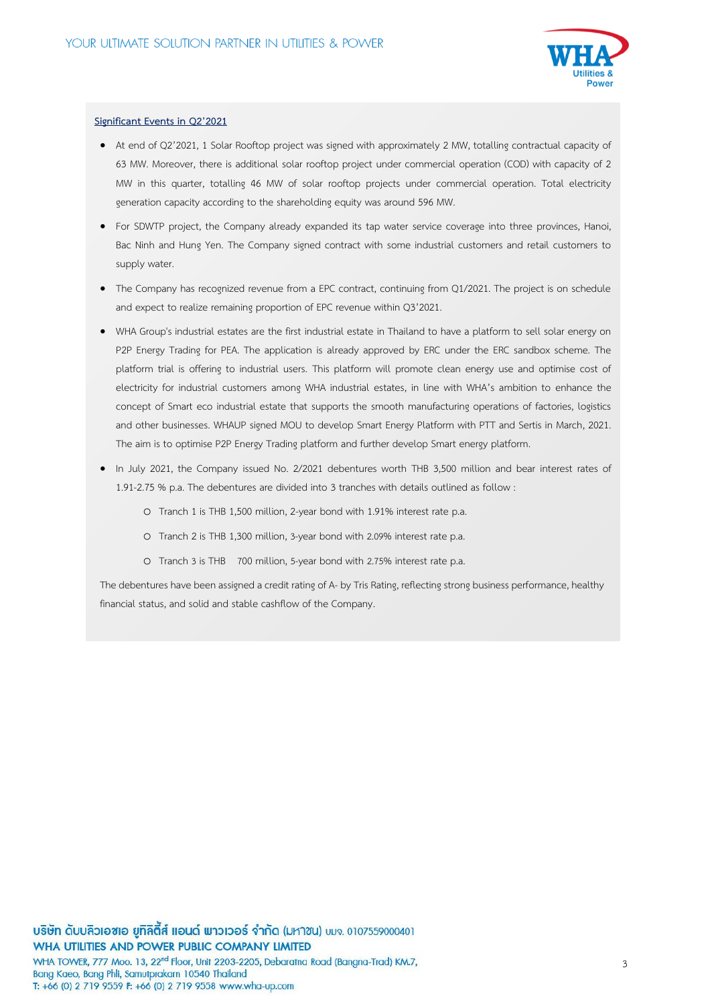

# **Significant Events in Q2'2021**

- At end of Q2'2021, 1 Solar Rooftop project was signed with approximately 2 MW, totalling contractual capacity of 63 MW. Moreover, there is additional solar rooftop project under commercial operation (COD) with capacity of 2 MW in this quarter, totalling 46 MW of solar rooftop projects under commercial operation. Total electricity generation capacity according to the shareholding equity was around 596 MW.
- For SDWTP project, the Company already expanded its tap water service coverage into three provinces, Hanoi, Bac Ninh and Hung Yen. The Company signed contract with some industrial customers and retail customers to supply water.
- The Company has recognized revenue from a EPC contract, continuing from Q1/2021. The project is on schedule and expect to realize remaining proportion of EPC revenue within Q3'2021.
- WHA Group's industrial estates are the first industrial estate in Thailand to have a platform to sell solar energy on P2P Energy Trading for PEA. The application is already approved by ERC under the ERC sandbox scheme. The platform trial is offering to industrial users. This platform will promote clean energy use and optimise cost of electricity for industrial customers among WHA industrial estates, in line with WHA's ambition to enhance the concept of Smart eco industrial estate that supports the smooth manufacturing operations of factories, logistics and other businesses. WHAUP signed MOU to develop Smart Energy Platform with PTT and Sertis in March, 2021. The aim is to optimise P2P Energy Trading platform and further develop Smart energy platform.
- In July 2021, the Company issued No. 2/2021 debentures worth THB 3,500 million and bear interest rates of 1.91-2.75 % p.a. The debentures are divided into 3 tranches with details outlined as follow :
	- o Tranch 1 is THB 1,500 million, 2-year bond with 1.91% interest rate p.a.
	- o Tranch 2 is THB 1,300 million, 3-year bond with 2.09% interest rate p.a.
	- o Tranch 3 is THB 700 million, 5-year bond with 2.75% interest rate p.a.

The debentures have been assigned a credit rating of A- by Tris Rating, reflecting strong business performance, healthy financial status, and solid and stable cashflow of the Company.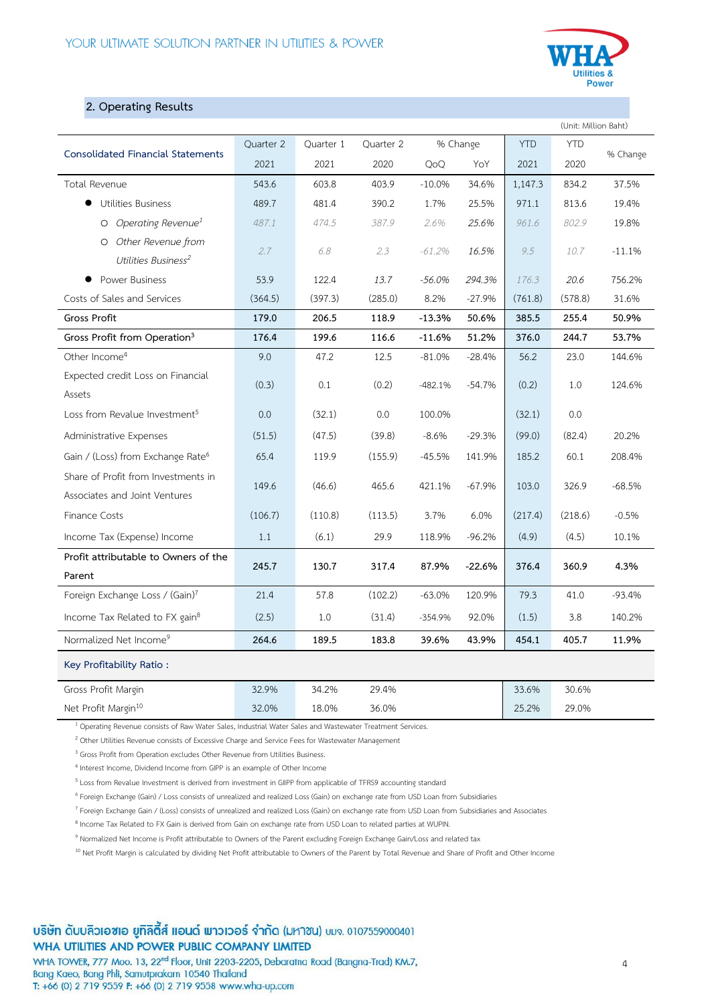

# **2. Operating Results**

| (Unit: Million Baht)                          |           |           |           |           |          |            |            |          |
|-----------------------------------------------|-----------|-----------|-----------|-----------|----------|------------|------------|----------|
| <b>Consolidated Financial Statements</b>      | Quarter 2 | Quarter 1 | Quarter 2 |           | % Change | <b>YTD</b> | <b>YTD</b> | % Change |
|                                               | 2021      | 2021      | 2020      | QoQ       | YoY      | 2021       | 2020       |          |
| Total Revenue                                 | 543.6     | 603.8     | 403.9     | $-10.0%$  | 34.6%    | 1,147.3    | 834.2      | 37.5%    |
| <b>Utilities Business</b>                     | 489.7     | 481.4     | 390.2     | 1.7%      | 25.5%    | 971.1      | 813.6      | 19.4%    |
| Operating Revenue <sup>1</sup><br>$\circ$     | 487.1     | 474.5     | 387.9     | 2.6%      | 25.6%    | 961.6      | 802.9      | 19.8%    |
| O Other Revenue from                          | 2.7       | 6.8       | 2.3       | $-61.2%$  | 16.5%    | 9.5        | 10.7       | $-11.1%$ |
| Utilities Business <sup>2</sup>               |           |           |           |           |          |            |            |          |
| Power Business                                | 53.9      | 122.4     | 13.7      | $-56.0%$  | 294.3%   | 176.3      | 20.6       | 756.2%   |
| Costs of Sales and Services                   | (364.5)   | (397.3)   | (285.0)   | 8.2%      | $-27.9%$ | (761.8)    | (578.8)    | 31.6%    |
| Gross Profit                                  | 179.0     | 206.5     | 118.9     | $-13.3%$  | 50.6%    | 385.5      | 255.4      | 50.9%    |
| Gross Profit from Operation <sup>3</sup>      | 176.4     | 199.6     | 116.6     | $-11.6%$  | 51.2%    | 376.0      | 244.7      | 53.7%    |
| Other Income <sup>4</sup>                     | 9.0       | 47.2      | 12.5      | $-81.0%$  | $-28.4%$ | 56.2       | 23.0       | 144.6%   |
| Expected credit Loss on Financial             | (0.3)     | 0.1       | (0.2)     | $-482.1%$ | $-54.7%$ | (0.2)      | 1.0        | 124.6%   |
| Assets                                        |           |           |           |           |          |            |            |          |
| Loss from Revalue Investment <sup>5</sup>     | 0.0       | (32.1)    | 0.0       | 100.0%    |          | (32.1)     | 0.0        |          |
| Administrative Expenses                       | (51.5)    | (47.5)    | (39.8)    | $-8.6%$   | $-29.3%$ | (99.0)     | (82.4)     | 20.2%    |
| Gain / (Loss) from Exchange Rate <sup>6</sup> | 65.4      | 119.9     | (155.9)   | $-45.5%$  | 141.9%   | 185.2      | 60.1       | 208.4%   |
| Share of Profit from Investments in           | 149.6     | (46.6)    | 465.6     | 421.1%    | $-67.9%$ | 103.0      | 326.9      | $-68.5%$ |
| Associates and Joint Ventures                 |           |           |           |           |          |            |            |          |
| <b>Finance Costs</b>                          | (106.7)   | (110.8)   | (113.5)   | 3.7%      | 6.0%     | (217.4)    | (218.6)    | $-0.5%$  |
| Income Tax (Expense) Income                   | 1.1       | (6.1)     | 29.9      | 118.9%    | $-96.2%$ | (4.9)      | (4.5)      | 10.1%    |
| Profit attributable to Owners of the          | 245.7     | 130.7     | 317.4     | 87.9%     | $-22.6%$ | 376.4      | 360.9      | 4.3%     |
| Parent                                        |           |           |           |           |          |            |            |          |
| Foreign Exchange Loss / (Gain)7               | 21.4      | 57.8      | (102.2)   | $-63.0%$  | 120.9%   | 79.3       | 41.0       | $-93.4%$ |
| Income Tax Related to FX gain <sup>8</sup>    | (2.5)     | 1.0       | (31.4)    | $-354.9%$ | 92.0%    | (1.5)      | 3.8        | 140.2%   |
| Normalized Net Income9                        | 264.6     | 189.5     | 183.8     | 39.6%     | 43.9%    | 454.1      | 405.7      | 11.9%    |
| Key Profitability Ratio:                      |           |           |           |           |          |            |            |          |
| Gross Profit Margin                           | 32.9%     | 34.2%     | 29.4%     |           |          | 33.6%      | 30.6%      |          |
| Net Profit Margin <sup>10</sup>               | 32.0%     | 18.0%     | 36.0%     |           |          | 25.2%      | 29.0%      |          |

<sup>1</sup> Operating Revenue consists of Raw Water Sales, Industrial Water Sales and Wastewater Treatment Services.

<sup>2</sup> Other Utilities Revenue consists of Excessive Charge and Service Fees for Wastewater Management

<sup>3</sup> Gross Profit from Operation excludes Other Revenue from Utilities Business.

<sup>4</sup> Interest Income, Dividend Income from GIPP is an example of Other Income

<sup>5</sup> Loss from Revalue Investment is derived from investment in GIIPP from applicable of TFRS9 accounting standard

6 Foreign Exchange (Gain) / Loss consists of unrealized and realized Loss (Gain) on exchange rate from USD Loan from Subsidiaries

7 Foreign Exchange Gain / (Loss) consists of unrealized and realized Loss (Gain) on exchange rate from USD Loan from Subsidiaries and Associates

<sup>8</sup> Income Tax Related to FX Gain is derived from Gain on exchange rate from USD Loan to related parties at WUPIN.

9 Normalized Net Income is Profit attributable to Owners of the Parent excluding Foreign Exchange Gain/Loss and related tax

<sup>10</sup> Net Profit Margin is calculated by dividing Net Profit attributable to Owners of the Parent by Total Revenue and Share of Profit and Other Income

# บริษัท ดับบลิวเอซเอ ยูทิลิตี้ส์ แอนด์ พาวเวอร์ จำกัด (มหาชน) บมจ. 0107559000401 WHA UTILITIES AND POWER PUBLIC COMPANY LIMITED

WHA TOWER, 777 Moo. 13, 22<sup>nd</sup> Floor, Unit 2203-2205, Debaratna Road (Bangna-Trad) KM.7, Bang Kaeo, Bang Phli, Samutprakarn 10540 Thailand T: +66 (0) 2 719 9559 F: +66 (0) 2 719 9558 www.wha-up.com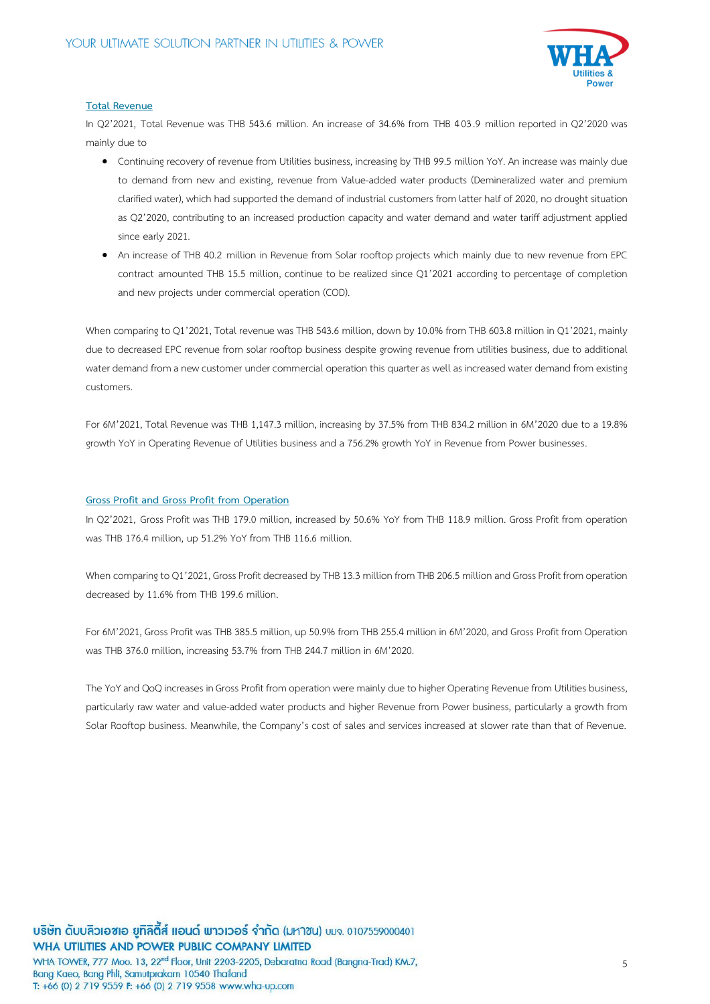

#### **Total Revenue**

In Q2'2021, Total Revenue was THB 543.6 million. An increase of 34.6% from THB 403.9 million reported in Q2'2020 was mainly due to

- Continuing recovery of revenue from Utilities business, increasing by THB 99.5 million YoY. An increase was mainly due to demand from new and existing, revenue from Value-added water products (Demineralized water and premium clarified water), which had supported the demand of industrial customers from latter half of 2020, no drought situation as Q2'2020, contributing to an increased production capacity and water demand and water tariff adjustment applied since early 2021.
- An increase of THB 40.2 million in Revenue from Solar rooftop projects which mainly due to new revenue from EPC contract amounted THB 15.5 million, continue to be realized since Q1'2021 according to percentage of completion and new projects under commercial operation (COD).

When comparing to Q1'2021, Total revenue was THB 543.6 million, down by 10.0% from THB 603.8 million in Q1'2021, mainly due to decreased EPC revenue from solar rooftop business despite growing revenue from utilities business, due to additional water demand from a new customer under commercial operation this quarter as well as increased water demand from existing customers.

For 6M'2021, Total Revenue was THB 1,147.3 million, increasing by 37.5% from THB 834.2 million in 6M'2020 due to a 19.8% growth YoY in Operating Revenue of Utilities business and a 756.2% growth YoY in Revenue from Power businesses.

#### **Gross Profit and Gross Profit from Operation**

In Q2'2021, Gross Profit was THB 179.0 million, increased by 50.6% YoY from THB 118.9 million. Gross Profit from operation was THB 176.4 million, up 51.2% YoY from THB 116.6 million.

When comparing to Q1'2021, Gross Profit decreased by THB 13.3 million from THB 206.5 million and Gross Profit from operation decreased by 11.6% from THB 199.6 million.

For 6M'2021, Gross Profit was THB 385.5 million, up 50.9% from THB 255.4 million in 6M'2020, and Gross Profit from Operation was THB 376.0 million, increasing 53.7% from THB 244.7 million in 6M'2020.

The YoY and QoQ increases in Gross Profit from operation were mainly due to higher Operating Revenue from Utilities business, particularly raw water and value-added water products and higher Revenue from Power business, particularly a growth from Solar Rooftop business. Meanwhile, the Company's cost of sales and services increased at slower rate than that of Revenue.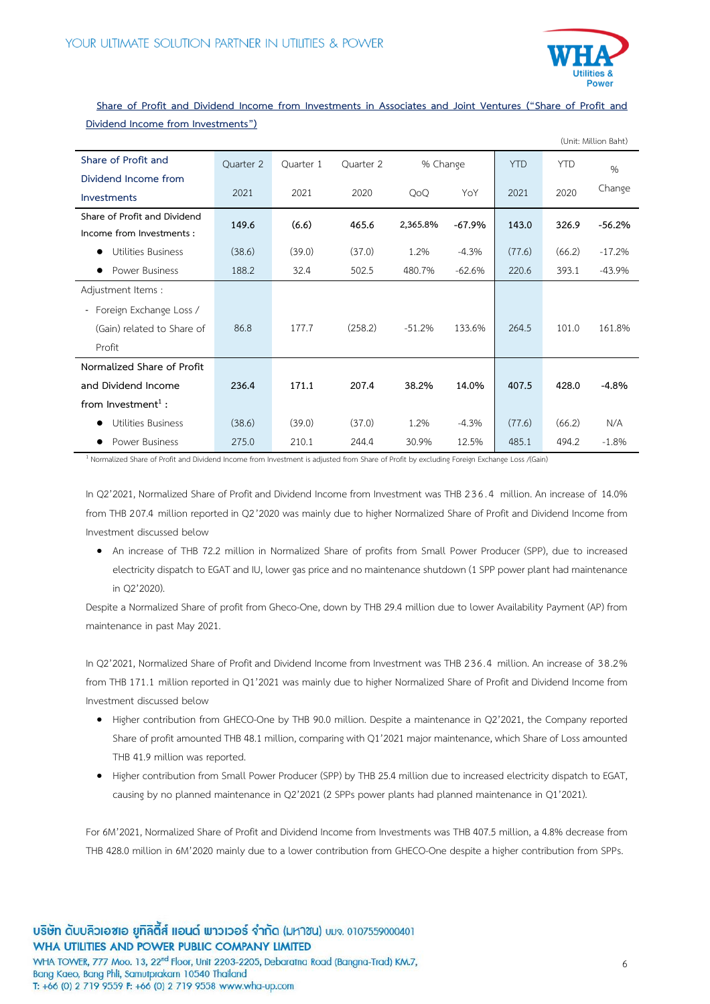

# **Share of Profit and Dividend Income from Investments in Associates and Joint Ventures ("Share of Profit and Dividend Income from Investments")**

|                                 |           |           |           |          |         |            |            | (Unit: Million Baht) |
|---------------------------------|-----------|-----------|-----------|----------|---------|------------|------------|----------------------|
| Share of Profit and             | Quarter 2 | Quarter 1 | Quarter 2 | % Change |         | <b>YTD</b> | <b>YTD</b> | $\%$                 |
| Dividend Income from            |           |           |           |          |         |            |            |                      |
| Investments                     | 2021      | 2021      | 2020      | QoQ      | YoY     | 2021       | 2020       | Change               |
| Share of Profit and Dividend    | 149.6     | (6.6)     | 465.6     |          |         |            | 326.9      |                      |
| Income from Investments :       |           |           |           | 2,365.8% | -67.9%  | 143.0      |            | $-56.2%$             |
| Utilities Business<br>$\bullet$ | (38.6)    | (39.0)    | (37.0)    | 1.2%     | $-4.3%$ | (77.6)     | (66.2)     | $-17.2%$             |
| Power Business<br>$\bullet$     | 188.2     | 32.4      | 502.5     | 480.7%   | -62.6%  | 220.6      | 393.1      | $-43.9%$             |
| Adjustment Items:               |           |           |           |          |         |            |            |                      |
| - Foreign Exchange Loss /       |           |           |           |          |         |            |            |                      |
| (Gain) related to Share of      | 86.8      | 177.7     | (258.2)   | $-51.2%$ | 133.6%  | 264.5      | 101.0      | 161.8%               |
| Profit                          |           |           |           |          |         |            |            |                      |
| Normalized Share of Profit      |           |           |           |          |         |            |            |                      |
| and Dividend Income             | 236.4     | 171.1     | 207.4     | 38.2%    | 14.0%   | 407.5      | 428.0      | $-4.8%$              |
| from Investment <sup>1</sup> :  |           |           |           |          |         |            |            |                      |
| Utilities Business              | (38.6)    | (39.0)    | (37.0)    | 1.2%     | $-4.3%$ | (77.6)     | (66.2)     | N/A                  |
| Power Business                  | 275.0     | 210.1     | 244.4     | 30.9%    | 12.5%   | 485.1      | 494.2      | $-1.8%$              |

<sup>1</sup> Normalized Share of Profit and Dividend Income from Investment is adjusted from Share of Profit by excluding Foreign Exchange Loss /(Gain)

In Q2'2021, Normalized Share of Profitand Dividend Income from Investment was THB 236.4 million. An increase of 14.0% from THB 207.4 million reported in Q2'2020 was mainly due to higher Normalized Share of Profit and Dividend Income from Investment discussed below

 An increase of THB 72.2 million in Normalized Share of profits from Small Power Producer (SPP), due to increased electricity dispatch to EGAT and IU, lower gas price and no maintenance shutdown (1 SPP power plant had maintenance in Q2'2020).

Despite a Normalized Share of profit from Gheco-One, down by THB 29.4 million due to lower Availability Payment (AP) from maintenance in past May 2021.

In Q2'2021, Normalized Share of Profit and Dividend Income from Investment was THB 236.4 million. An increase of 38.2% from THB 171.1 million reported in Q1'2021 was mainly due to higher Normalized Share of Profit and Dividend Income from Investment discussed below

- Higher contribution from GHECO-One by THB 90.0 million. Despite a maintenance in Q2'2021, the Company reported Share of profit amounted THB 48.1 million, comparing with Q1'2021 major maintenance, which Share of Loss amounted THB 41.9 million was reported.
- Higher contribution from Small Power Producer (SPP) by THB 25.4 million due to increased electricity dispatch to EGAT, causing by no planned maintenance in Q2'2021 (2 SPPs power plants had planned maintenance in Q1'2021).

For 6M'2021, Normalized Share of Profit and Dividend Income from Investments was THB 407.5 million, a 4.8% decrease from THB 428.0 million in 6M'2020 mainly due to a lower contribution from GHECO-One despite a higher contribution from SPPs.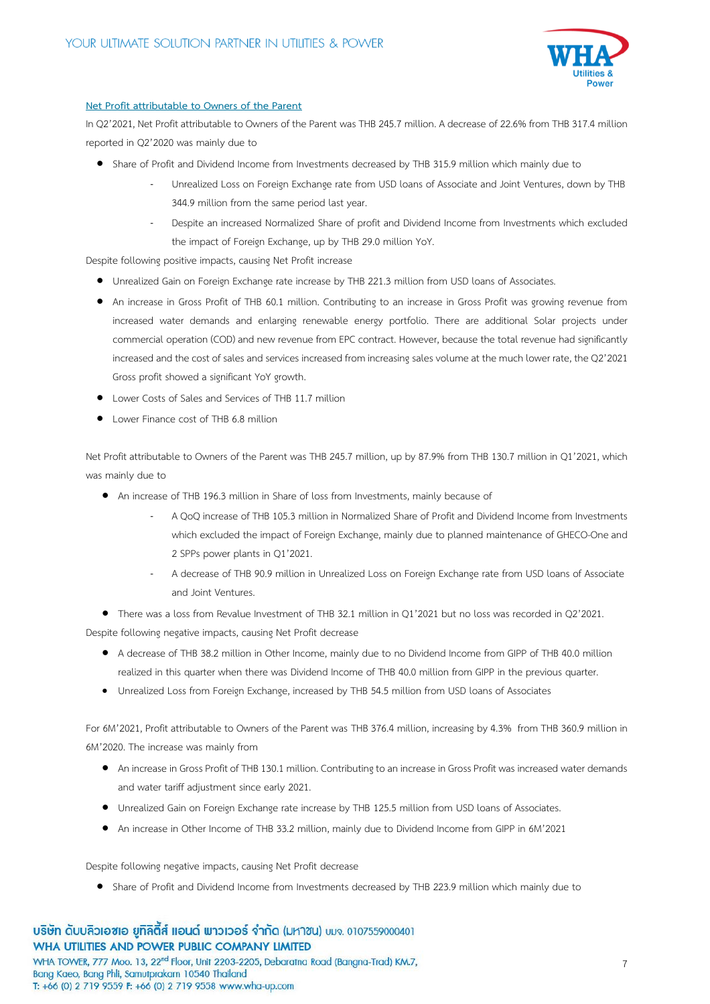

# **Net Profit attributable to Owners of the Parent**

In Q2'2021, Net Profit attributable to Owners of the Parent was THB 245.7 million. A decrease of 22.6% from THB 317.4 million reported in Q2'2020 was mainly due to

- Share of Profit and Dividend Income from Investments decreased by THB 315.9 million which mainly due to
	- Unrealized Loss on Foreign Exchange rate from USD loans of Associate and Joint Ventures, down by THB 344.9 million from the same period last year.
	- Despite an increased Normalized Share of profit and Dividend Income from Investments which excluded the impact of Foreign Exchange, up by THB 29.0 million YoY.

Despite following positive impacts, causing Net Profit increase

- Unrealized Gain on Foreign Exchange rate increase by THB 221.3 million from USD loans of Associates.
- An increase in Gross Profit of THB 60.1 million. Contributing to an increase in Gross Profit was growing revenue from increased water demands and enlarging renewable energy portfolio. There are additional Solar projects under commercial operation (COD) and new revenue from EPC contract. However, because the total revenue had significantly increased and the cost of sales and services increased from increasing sales volume at the much lower rate, the Q2'2021 Gross profit showed a significant YoY growth.
- Lower Costs of Sales and Services of THB 11.7 million
- Lower Finance cost of THB 6.8 million

Net Profit attributable to Owners of the Parent was THB 245.7 million, up by 87.9% from THB 130.7 million in Q1'2021, which was mainly due to

- An increase of THB 196.3 million in Share of loss from Investments, mainly because of
	- A QoQ increase of THB 105.3 million in Normalized Share of Profit and Dividend Income from Investments which excluded the impact of Foreign Exchange, mainly due to planned maintenance of GHECO-One and 2 SPPs power plants in Q1'2021.
	- A decrease of THB 90.9 million in Unrealized Loss on Foreign Exchange rate from USD loans of Associate and Joint Ventures.

 There was a loss from Revalue Investment of THB 32.1 million in Q1'2021 but no loss was recorded in Q2'2021. Despite following negative impacts, causing Net Profit decrease

- A decrease of THB 38.2 million in Other Income, mainly due to no Dividend Income from GIPP of THB 40.0 million realized in this quarter when there was Dividend Income of THB 40.0 million from GIPP in the previous quarter.
- Unrealized Loss from Foreign Exchange, increased by THB 54.5 million from USD loans of Associates

For 6M'2021, Profit attributable to Owners of the Parent was THB 376.4 million, increasing by 4.3% from THB 360.9 million in 6M'2020. The increase was mainly from

- An increase in Gross Profit of THB 130.1 million. Contributing to an increase in Gross Profit was increased water demands and water tariff adjustment since early 2021.
- Unrealized Gain on Foreign Exchange rate increase by THB 125.5 million from USD loans of Associates.
- An increase in Other Income of THB 33.2 million, mainly due to Dividend Income from GIPP in 6M'2021

Despite following negative impacts, causing Net Profit decrease

Share of Profit and Dividend Income from Investments decreased by THB 223.9 million which mainly due to

บริษัท ดับบลิวเอซเอ ยูทิลิตี้ส์ แอนด์ พาวเวอร์ จำกัด (มหาซน) บมจ. 0107559000401 WHA UTILITIES AND POWER PUBLIC COMPANY LIMITED WHA TOWER, 777 Moo. 13, 22<sup>nd</sup> Floor, Unit 2203-2205, Debaratna Road (Bangna-Trad) KM.7, Bang Kaeo, Bang Phli, Samutprakarn 10540 Thailand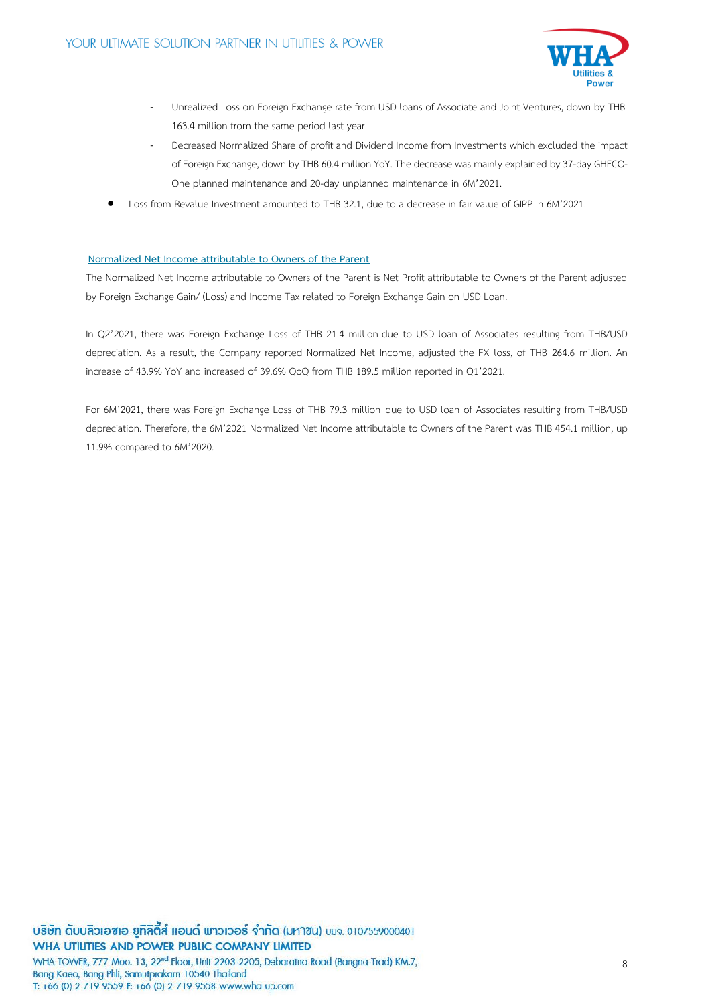

- Unrealized Loss on Foreign Exchange rate from USD loans of Associate and Joint Ventures, down by THB 163.4 million from the same period last year.
- Decreased Normalized Share of profit and Dividend Income from Investments which excluded the impact of Foreign Exchange, down by THB 60.4 million YoY.The decrease was mainly explained by 37-day GHECO-One planned maintenance and 20-day unplanned maintenance in 6M'2021.
- Loss from Revalue Investment amounted to THB 32.1, due to a decrease in fair value of GIPP in 6M'2021.

# **Normalized Net Income attributable to Owners of the Parent**

The Normalized Net Income attributable to Owners of the Parent is Net Profit attributable to Owners of the Parent adjusted by Foreign Exchange Gain/ (Loss) and Income Tax related to Foreign Exchange Gain on USD Loan.

In Q2'2021, there was Foreign Exchange Loss of THB 21.4 million due to USD loan of Associates resulting from THB/USD depreciation. As a result, the Company reported Normalized Net Income, adjusted the FX loss, of THB 264.6 million. An increase of 43.9% YoY and increased of 39.6% QoQ from THB 189.5 million reported in Q1'2021.

For 6M'2021, there was Foreign Exchange Loss of THB 79.3 million due to USD loan of Associates resulting from THB/USD depreciation. Therefore, the 6M'2021 Normalized Net Income attributable to Owners of the Parent was THB 454.1 million, up 11.9% compared to 6M'2020.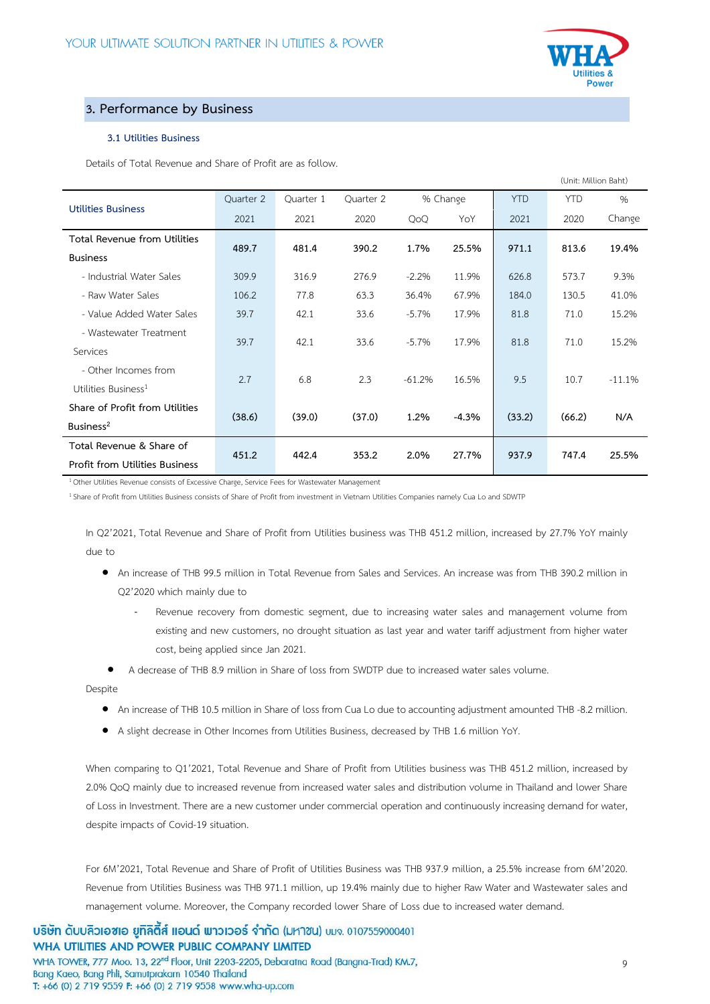

# **3. Performance by Business**

# **3.1 Utilities Business**

Details of Total Revenue and Share of Profit are as follow.

|                                       |           |           |           |          |          |            | (Unit: Million Baht) |          |
|---------------------------------------|-----------|-----------|-----------|----------|----------|------------|----------------------|----------|
|                                       | Ouarter 2 | Quarter 1 | Quarter 2 |          | % Change | <b>YTD</b> | <b>YTD</b>           | $\%$     |
| <b>Utilities Business</b>             | 2021      | 2021      | 2020      | QoQ      | YoY      | 2021       | 2020                 | Change   |
| Total Revenue from Utilities          | 489.7     | 481.4     | 390.2     | 1.7%     | 25.5%    | 971.1      | 813.6                | 19.4%    |
| <b>Business</b>                       |           |           |           |          |          |            |                      |          |
| - Industrial Water Sales              | 309.9     | 316.9     | 276.9     | $-2.2%$  | 11.9%    | 626.8      | 573.7                | 9.3%     |
| - Raw Water Sales                     | 106.2     | 77.8      | 63.3      | 36.4%    | 67.9%    | 184.0      | 130.5                | 41.0%    |
| - Value Added Water Sales             | 39.7      | 42.1      | 33.6      | $-5.7%$  | 17.9%    | 81.8       | 71.0                 | 15.2%    |
| - Wastewater Treatment                | 39.7      | 42.1      | 33.6      | $-5.7%$  | 17.9%    | 81.8       | 71.0                 | 15.2%    |
| Services                              |           |           |           |          |          |            |                      |          |
| - Other Incomes from                  | 2.7       | 6.8       | 2.3       | $-61.2%$ | 16.5%    | 9.5        | 10.7                 | $-11.1%$ |
| Utilities Business <sup>1</sup>       |           |           |           |          |          |            |                      |          |
| Share of Profit from Utilities        | (38.6)    | (39.0)    | (37.0)    | 1.2%     | $-4.3%$  | (33.2)     | (66.2)               | N/A      |
| Business <sup>2</sup>                 |           |           |           |          |          |            |                      |          |
| Total Revenue & Share of              | 451.2     | 442.4     | 353.2     | 2.0%     | 27.7%    | 937.9      | 747.4                | 25.5%    |
| <b>Profit from Utilities Business</b> |           |           |           |          |          |            |                      |          |

<sup>1</sup> Other Utilities Revenue consists of Excessive Charge, Service Fees for Wastewater Management

<sup>1</sup>Share of Profit from Utilities Business consists of Share of Profit from investment in Vietnam Utilities Companies namely Cua Lo and SDWTP

In Q2'2021, Total Revenue and Share of Profit from Utilities business was THB 451.2 million, increased by 27.7% YoY mainly due to

- An increase of THB 99.5 million in Total Revenue from Sales and Services. An increase was from THB 390.2 million in Q2'2020 which mainly due to
	- Revenue recovery from domestic segment, due to increasing water sales and management volume from existing and new customers, no drought situation as last year and water tariff adjustment from higher water cost, being applied since Jan 2021.
- A decrease of THB 8.9 million in Share of loss from SWDTP due to increased water sales volume.

Despite

- An increase of THB 10.5 million in Share of loss from Cua Lo due to accounting adjustment amounted THB -8.2 million.
- A slight decrease in Other Incomes from Utilities Business, decreased by THB 1.6 million YoY.

When comparing to Q1'2021, Total Revenue and Share of Profit from Utilities business was THB 451.2 million, increased by 2.0% QoQ mainly due to increased revenue from increased water sales and distribution volume in Thailand and lower Share of Loss in Investment. There are a new customer under commercial operation and continuously increasing demand for water, despite impacts of Covid-19 situation.

For 6M'2021, Total Revenue and Share of Profit of Utilities Business was THB 937.9 million, a 25.5% increase from 6M'2020. Revenue from Utilities Business was THB 971.1 million, up 19.4% mainly due to higher Raw Water and Wastewater sales and management volume. Moreover, the Company recorded lower Share of Loss due to increased water demand.

บริษัท ดับบลิวเอซเอ ยูทิลิตี้ส์ แอนด์ พาวเวอร์ จำกัด (มหาซน) บมจ. 0107559000401 WHA UTILITIES AND POWER PUBLIC COMPANY LIMITED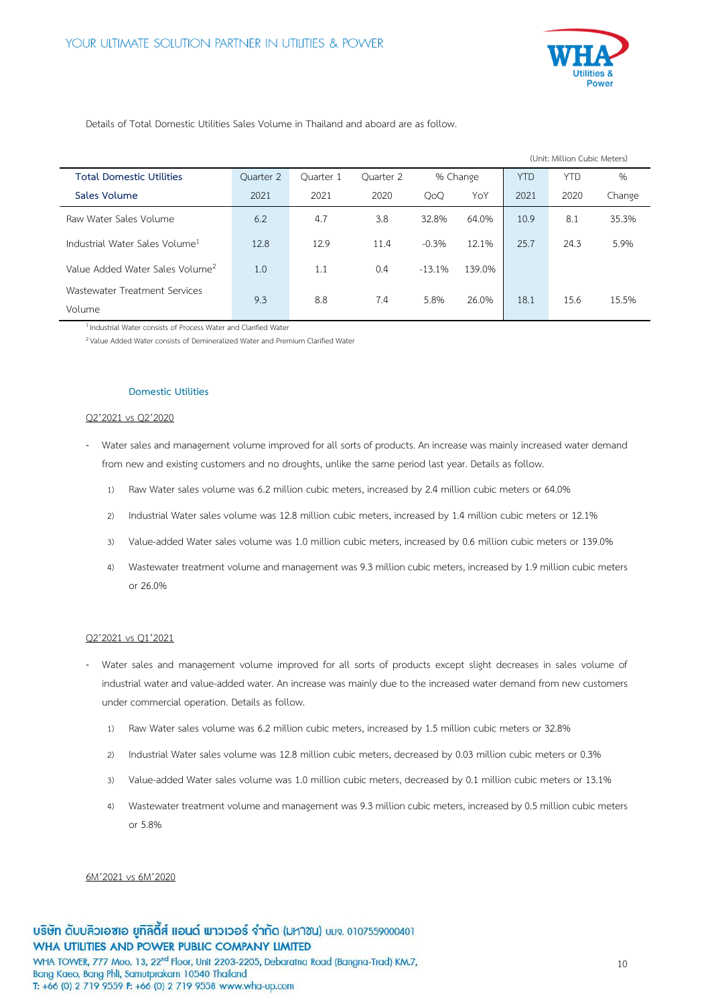

Details of Total Domestic Utilities Sales Volume in Thailand and aboard are as follow.

|                                             |           |           |           |                |          |            | (Unit: Million Cubic Meters) |        |
|---------------------------------------------|-----------|-----------|-----------|----------------|----------|------------|------------------------------|--------|
| <b>Total Domestic Utilities</b>             | Ouarter 2 | Ouarter 1 | Ouarter 2 |                | % Change | <b>YTD</b> | <b>YTD</b>                   | %      |
| Sales Volume                                | 2021      | 2021      | 2020      | O <sub>0</sub> | YoY      | 2021       | 2020                         | Change |
| Raw Water Sales Volume                      | 6.2       | 4.7       | 3.8       | 32.8%          | 64.0%    | 10.9       | 8.1                          | 35.3%  |
| Industrial Water Sales Volume <sup>1</sup>  | 12.8      | 12.9      | 11.4      | $-0.3%$        | 12.1%    | 25.7       | 24.3                         | 5.9%   |
| Value Added Water Sales Volume <sup>2</sup> | 1.0       | 1.1       | 0.4       | $-13.1%$       | 139.0%   |            |                              |        |
| Wastewater Treatment Services               | 9.3       | 8.8       | 7.4       | 5.8%           | 26.0%    | 18.1       | 15.6                         | 15.5%  |
| Volume                                      |           |           |           |                |          |            |                              |        |

<sup>1</sup> Industrial Water consists of Process Water and Clarified Water

<sup>2</sup> Value Added Water consists of Demineralized Water and Premium Clarified Water

#### **Domestic Utilities**

#### Q2'2021 vs Q2'2020

- Water sales and management volume improved for all sorts of products. An increase was mainly increased water demand from new and existing customers and no droughts, unlike the same period last year. Details as follow.
	- 1) Raw Water sales volume was 6.2 million cubic meters, increased by 2.4 million cubic meters or 64.0%
	- 2) Industrial Water sales volume was 12.8 million cubic meters, increased by 1.4 million cubic meters or 12.1%
	- 3) Value-added Water sales volume was 1.0 million cubic meters, increased by 0.6 million cubic meters or 139.0%
	- 4) Wastewater treatment volume and management was 9.3 million cubic meters, increased by 1.9 million cubic meters or 26.0%

#### Q2'2021 vs Q1'2021

- Water sales and management volume improved for all sorts of products except slight decreases in sales volume of industrial water and value-added water. An increase was mainly due to the increased water demand from new customers under commercial operation. Details as follow.
	- 1) Raw Water sales volume was 6.2 million cubic meters, increased by 1.5 million cubic meters or 32.8%
	- 2) Industrial Water sales volume was 12.8 million cubic meters, decreased by 0.03 million cubic meters or 0.3%
	- 3) Value-added Water sales volume was 1.0 million cubic meters, decreased by 0.1 million cubic meters or 13.1%
	- 4) Wastewater treatment volume and management was 9.3 million cubic meters, increased by 0.5 million cubic meters or 5.8%

#### 6M'2021 vs 6M'2020

T: +66 (0) 2 719 9559 F: +66 (0) 2 719 9558 www.wha-up.com

10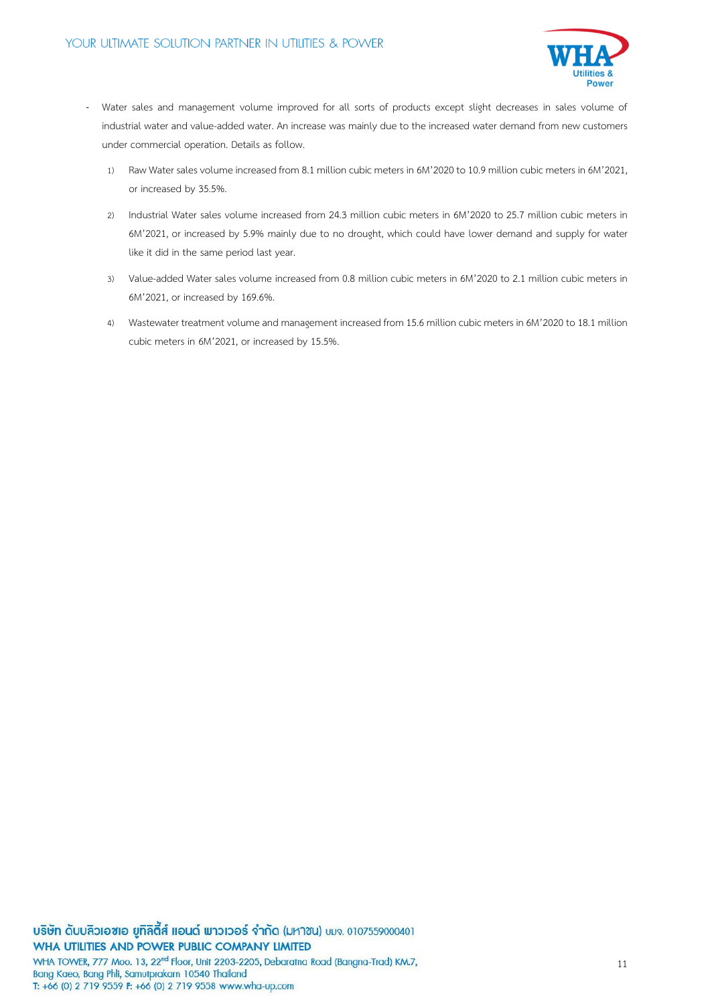

- Water sales and management volume improved for all sorts of products except slight decreases in sales volume of industrial water and value-added water. An increase was mainly due to the increased water demand from new customers under commercial operation. Details as follow.
	- 1) Raw Water sales volume increased from 8.1 million cubic meters in 6M'2020to 10.9 million cubic meters in 6M'2021, or increased by 35.5%.
	- 2) Industrial Water sales volume increased from 24.3 million cubic meters in 6M'2020 to 25.7 million cubic meters in 6M'2021, or increased by 5.9% mainly due to no drought, which could have lower demand and supply for water like it did in the same period last year.
	- 3) Value-added Water sales volume increased from 0.8 million cubic meters in 6M'2020 to 2.1 million cubic meters in 6M'2021, or increased by 169.6%.
	- 4) Wastewater treatment volume and management increased from 15.6 million cubic meters in 6M'2020 to 18.1 million cubic meters in 6M'2021, or increased by 15.5%.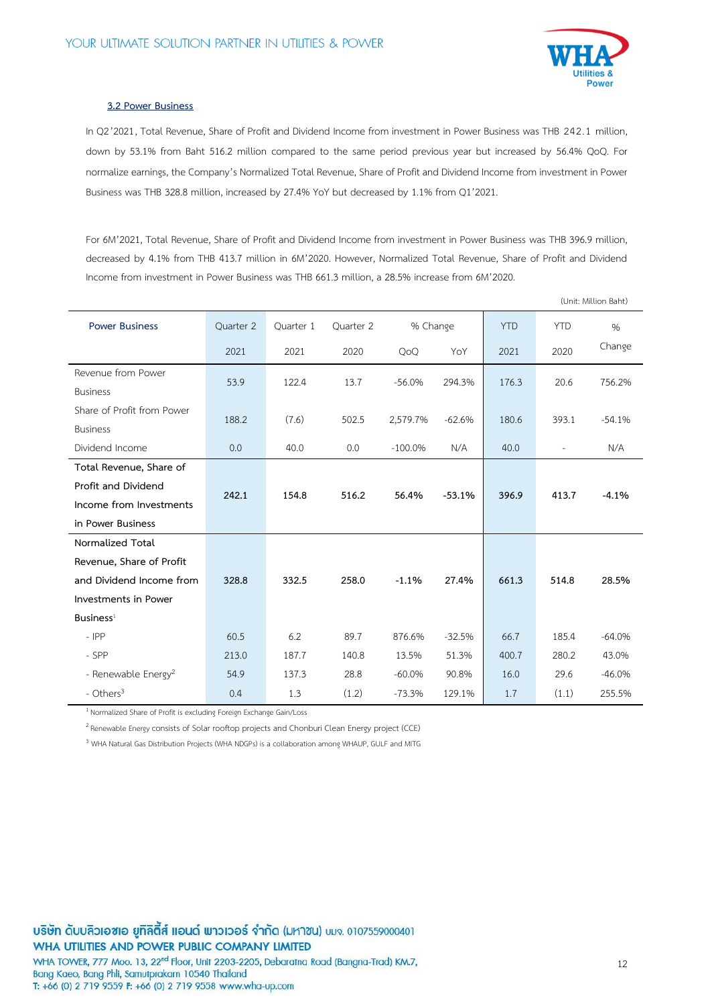

#### **3.2 Power Business**

In Q2'2021, Total Revenue, Share of Profit and Dividend Income from investment in Power Business was THB 242.1 million, down by 53.1% from Baht 516.2 million compared to the same period previous year but increased by 56.4% QoQ. For normalize earnings, the Company's Normalized Total Revenue, Share of Profit and Dividend Income from investment in Power Business was THB 328.8 million, increased by 27.4% YoY but decreased by 1.1% from Q1'2021.

For 6M'2021, Total Revenue, Share of Profit and Dividend Income from investment in Power Business was THB 396.9 million, decreased by 4.1% from THB 413.7 million in 6M'2020. However, Normalized Total Revenue, Share of Profit and Dividend Income from investment in Power Business was THB 661.3 million, a 28.5% increase from 6M'2020.

|                                 |           |           |           |           |          |            |                          | (Unit: Million Baht) |
|---------------------------------|-----------|-----------|-----------|-----------|----------|------------|--------------------------|----------------------|
| <b>Power Business</b>           | Quarter 2 | Quarter 1 | Quarter 2 | % Change  |          | <b>YTD</b> | <b>YTD</b>               | $\%$                 |
|                                 | 2021      | 2021      | 2020      | QoQ       | YoY      | 2021       | 2020                     | Change               |
| Revenue from Power              | 53.9      | 122.4     | 13.7      | $-56.0%$  | 294.3%   | 176.3      | 20.6                     | 756.2%               |
| <b>Business</b>                 |           |           |           |           |          |            |                          |                      |
| Share of Profit from Power      | 188.2     | (7.6)     | 502.5     | 2,579.7%  | $-62.6%$ | 180.6      | 393.1                    | $-54.1%$             |
| <b>Business</b>                 |           |           |           |           |          |            |                          |                      |
| Dividend Income                 | 0.0       | 40.0      | 0.0       | $-100.0%$ | N/A      | 40.0       | $\overline{\phantom{a}}$ | N/A                  |
| Total Revenue, Share of         |           |           |           |           |          |            |                          |                      |
| Profit and Dividend             |           |           |           |           |          |            |                          |                      |
| Income from Investments         | 242.1     | 154.8     | 516.2     | 56.4%     | $-53.1%$ | 396.9      | 413.7                    | $-4.1%$              |
| in Power Business               |           |           |           |           |          |            |                          |                      |
| Normalized Total                |           |           |           |           |          |            |                          |                      |
| Revenue, Share of Profit        |           |           |           |           |          |            |                          |                      |
| and Dividend Income from        | 328.8     | 332.5     | 258.0     | $-1.1%$   | 27.4%    | 661.3      | 514.8                    | 28.5%                |
| Investments in Power            |           |           |           |           |          |            |                          |                      |
| $B$ usiness <sup>1</sup>        |           |           |           |           |          |            |                          |                      |
| $-$ IPP                         | 60.5      | 6.2       | 89.7      | 876.6%    | $-32.5%$ | 66.7       | 185.4                    | $-64.0%$             |
| - SPP                           | 213.0     | 187.7     | 140.8     | 13.5%     | 51.3%    | 400.7      | 280.2                    | 43.0%                |
| - Renewable Energy <sup>2</sup> | 54.9      | 137.3     | 28.8      | $-60.0%$  | 90.8%    | 16.0       | 29.6                     | $-46.0%$             |
| - Others <sup>3</sup>           | 0.4       | 1.3       | (1.2)     | $-73.3%$  | 129.1%   | 1.7        | (1.1)                    | 255.5%               |

<sup>1</sup> Normalized Share of Profit is excluding Foreign Exchange Gain/Loss

 $^2$  Renewable Energy consists of Solar rooftop projects and Chonburi Clean Energy project (CCE)

<sup>3</sup> WHA Natural Gas Distribution Projects (WHA NDGPs) is a collaboration among WHAUP, GULF and MITG

บริษัท ดับบลิวเอซเอ ยูทิลิตี้ส์ แอนด์ พาวเวอร์ จำกัด (มหาซน) บมจ. 0107559000401 WHA UTILITIES AND POWER PUBLIC COMPANY LIMITED

WHA TOWER, 777 Moo. 13, 22<sup>nd</sup> Floor, Unit 2203-2205, Debaratna Road (Bangna-Trad) KM.7, Bang Kaeo, Bang Phli, Samutprakarn 10540 Thailand T: +66 (0) 2 719 9559 F: +66 (0) 2 719 9558 www.wha-up.com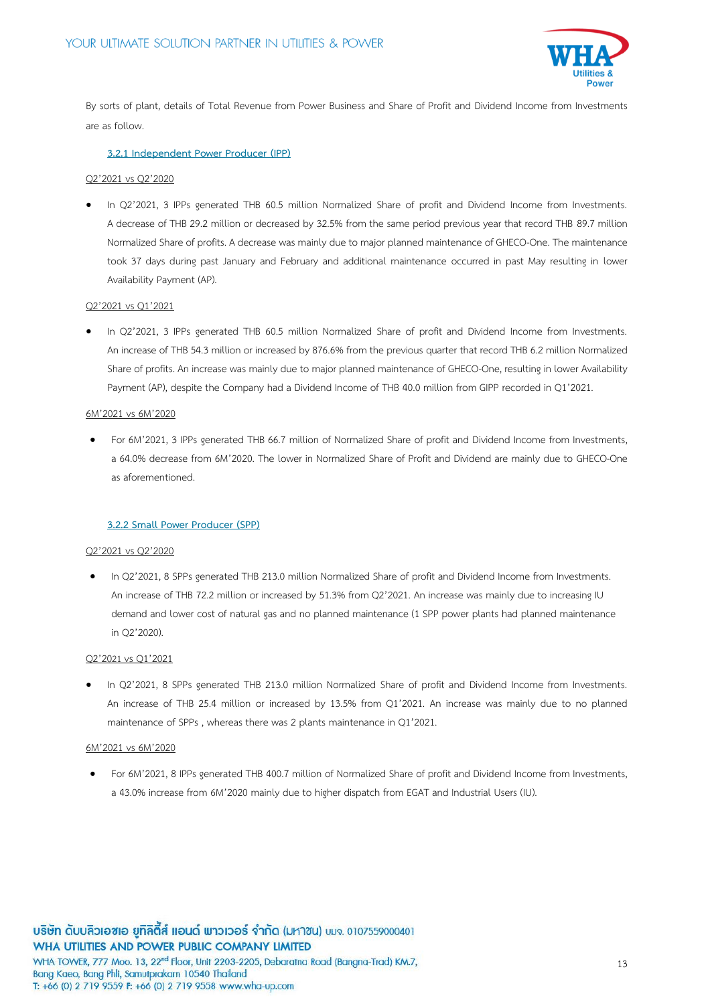

By sorts of plant, details of Total Revenue from Power Business and Share of Profit and Dividend Income from Investments are as follow.

# **3.2.1 Independent Power Producer (IPP)**

#### Q2'2021 vs Q2'2020

In Q2'2021, 3 IPPs generated THB 60.5 million Normalized Share of profit and Dividend Income from Investments. A decrease of THB 29.2 million or decreased by 32.5% from the same period previous year that record THB 89.7 million Normalized Share of profits. A decrease was mainly due to major planned maintenance of GHECO-One. The maintenance took 37 days during past January and February and additional maintenance occurred in past May resulting in lower Availability Payment (AP).

### Q2'2021 vs Q1'2021

 In Q2'2021, 3 IPPs generated THB 60.5 million Normalized Share of profit and Dividend Income from Investments. An increase of THB 54.3 million or increased by 876.6% from the previous quarter that record THB 6.2 million Normalized Share of profits. An increase was mainly due to major planned maintenance of GHECO-One, resulting in lower Availability Payment (AP), despite the Company had a Dividend Income of THB 40.0 million from GIPP recorded in Q1'2021.

#### 6M'2021 vs 6M'2020

 For 6M'2021, 3 IPPs generated THB 66.7 million of Normalized Share of profit and Dividend Income from Investments, a 64.0% decrease from 6M'2020. The lower in Normalized Share of Profit and Dividend are mainly due to GHECO-One as aforementioned.

#### **3.2.2 Small Power Producer (SPP)**

#### Q2'2021 vs Q2'2020

 In Q2'2021, 8 SPPs generated THB 213.0 million Normalized Share of profit and Dividend Income from Investments. An increase of THB 72.2 million or increased by 51.3% from Q2'2021. An increase was mainly due to increasing IU demand and lower cost of natural gas and no planned maintenance (1 SPP power plants had planned maintenance in Q2'2020).

#### Q2'2021 vs Q1'2021

 In Q2'2021, 8 SPPs generated THB 213.0 million Normalized Share of profit and Dividend Income from Investments. An increase of THB 25.4 million or increased by 13.5% from Q1'2021. An increase was mainly due to no planned maintenance of SPPs , whereas there was 2 plants maintenance in Q1'2021.

#### 6M'2021 vs 6M'2020

 For 6M'2021, 8 IPPs generated THB 400.7 million of Normalized Share of profit and Dividend Income from Investments, a 43.0% increase from 6M'2020 mainly due to higher dispatch from EGAT and Industrial Users (IU).

T: +66 (0) 2 719 9559 F: +66 (0) 2 719 9558 www.wha-up.com

13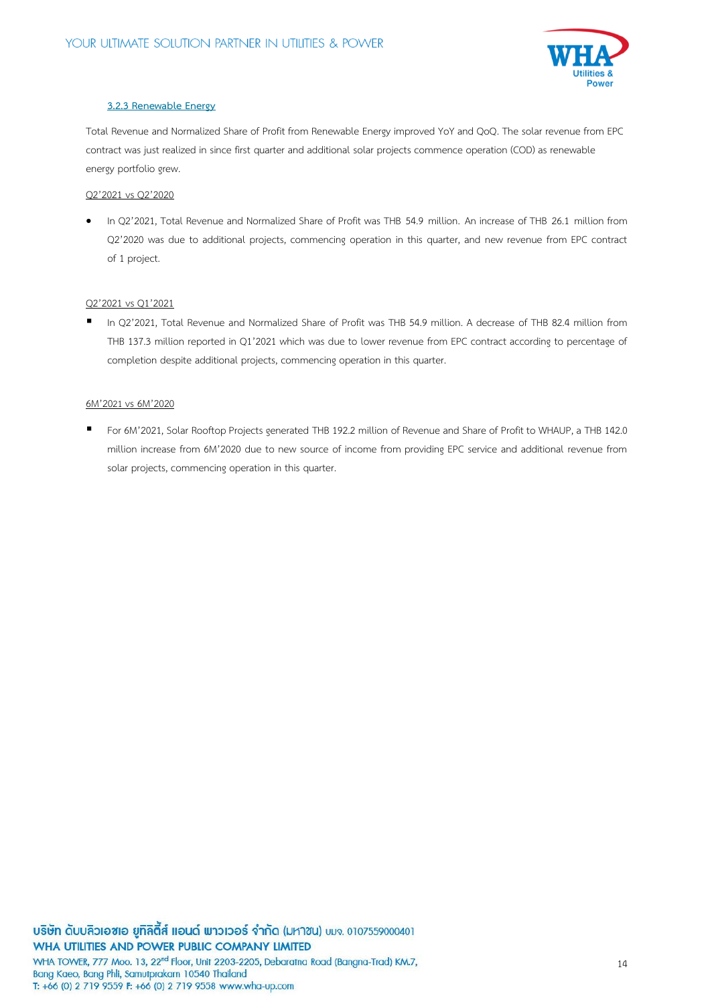

# **3.2.3 Renewable Energy**

Total Revenue and Normalized Share of Profit from Renewable Energy improved YoY and QoQ. The solar revenue from EPC contract was just realized in since first quarter and additional solar projects commence operation (COD) as renewable energy portfolio grew.

# Q2'2021 vs Q2'2020

 In Q2'2021, Total Revenue and Normalized Share of Profit was THB 54.9 million. An increase of THB 26.1 million from Q2'2020 was due to additional projects, commencing operation in this quarter, and new revenue from EPC contract of 1 project.

# Q2'2021 vs Q1'2021

 In Q2'2021, Total Revenue and Normalized Share of Profit was THB 54.9 million. A decrease of THB 82.4 million from THB 137.3 million reported in Q1'2021 which was due to lower revenue from EPC contract according to percentage of completion despite additional projects, commencing operation in this quarter.

# 6M'2021 vs 6M'2020

 For 6M'2021, Solar Rooftop Projects generated THB 192.2 million of Revenue and Share of Profit to WHAUP, a THB 142.0 million increase from 6M'2020 due to new source of income from providing EPC service and additional revenue from solar projects, commencing operation in this quarter.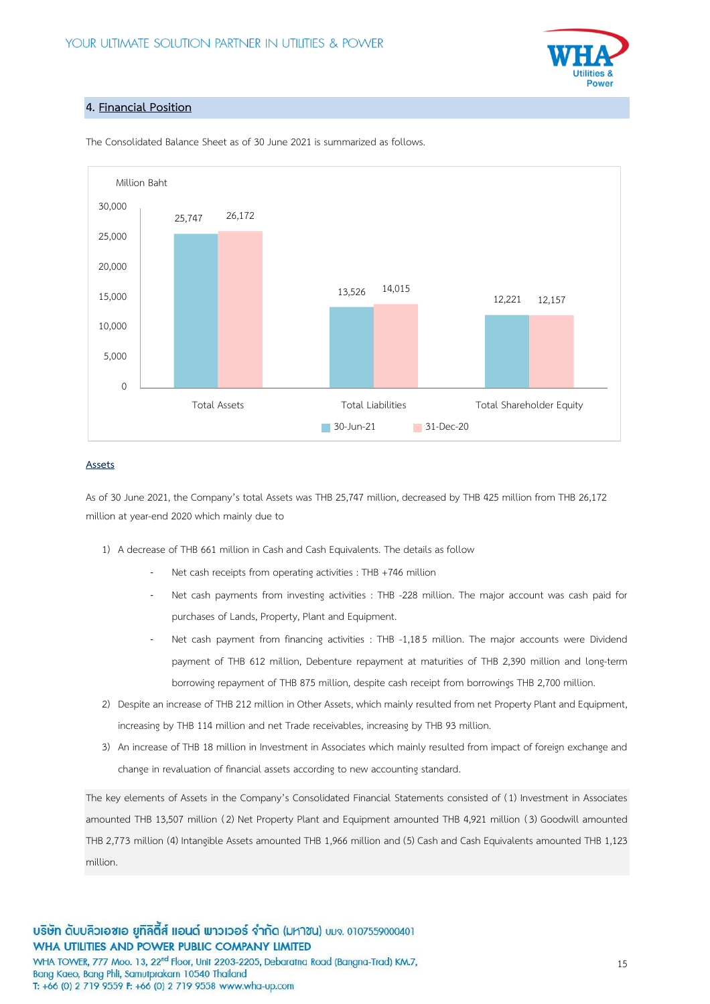

# **4. Financial Position**



The Consolidated Balance Sheet as of 30 June 2021 is summarized as follows.

# **Assets**

As of 30 June 2021, the Company's total Assets was THB 25,747 million, decreased by THB 425 million from THB 26,172 million at year-end 2020 which mainly due to

- 1) A decrease of THB 661 million in Cash and Cash Equivalents. The details as follow
	- Net cash receipts from operating activities : THB +746 million
	- Net cash payments from investing activities : THB -228 million. The major account was cash paid for purchases of Lands, Property, Plant and Equipment.
	- Net cash payment from financing activities : THB -1,185 million. The major accounts were Dividend payment of THB 612 million, Debenture repayment at maturities of THB 2,390 million and long-term borrowing repayment of THB 875 million, despite cash receipt from borrowings THB 2,700 million.
- 2) Despite an increase of THB 212 million in Other Assets, which mainly resulted from net Property Plant and Equipment, increasing by THB 114 million and net Trade receivables, increasing by THB 93 million.
- 3) An increase of THB 18 million in Investment in Associates which mainly resulted from impact of foreign exchange and change in revaluation of financial assets according to new accounting standard.

The key elements of Assets in the Company's Consolidated Financial Statements consisted of (1) Investment in Associates amounted THB 13,507 million (2) Net Property Plant and Equipment amounted THB 4,921 million (3) Goodwill amounted THB 2,773 million (4) Intangible Assets amounted THB 1,966 million and (5) Cash and Cash Equivalents amounted THB 1,123 million.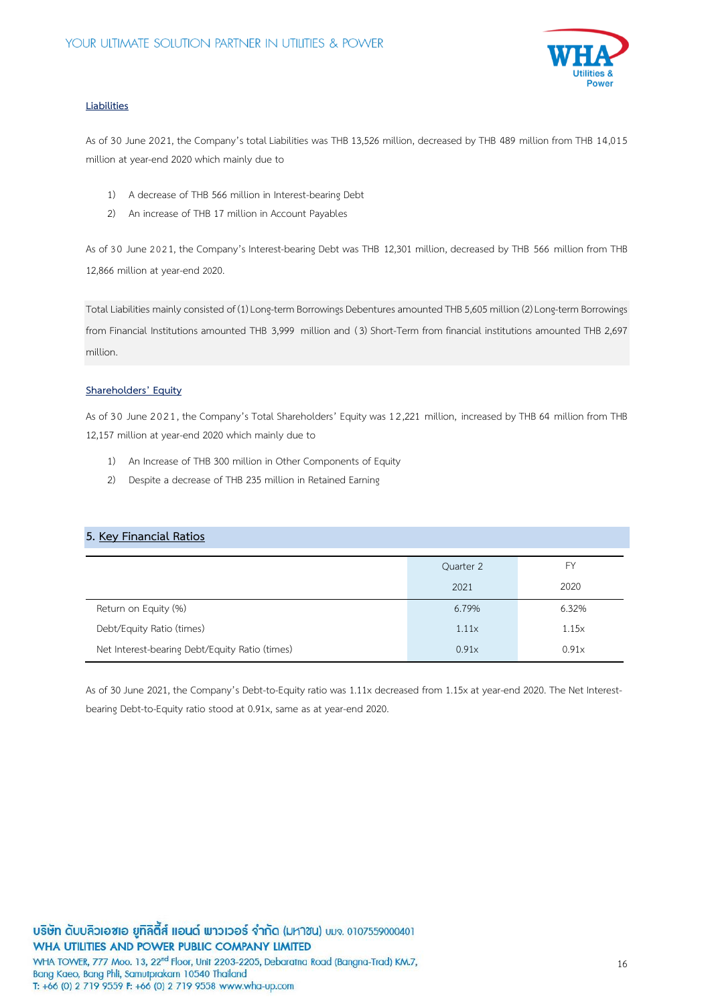

# **Liabilities**

As of 30 June 2021, the Company's totalLiabilities was THB 13,526 million, decreased by THB 489 million from THB 14,015 million at year-end 2020 which mainly due to

- 1) A decrease of THB 566 million in Interest-bearing Debt
- 2) An increase of THB 17 million in Account Payables

As of 30 June 2021, the Company's Interest-bearing Debt was THB 12,301 million, decreased by THB 566 million from THB 12,866 million at year-end 2020.

Total Liabilities mainly consisted of (1)Long-term Borrowings Debentures amounted THB5,605 million(2)Long-term Borrowings from Financial Institutions amounted THB 3,999 million and (3) Short-Term from financial institutions amounted THB 2,697 million.

# **Shareholders' Equity**

As of 30 June 2021, the Company's Total Shareholders' Equity was 12,221 million, increased by THB 64 million from THB 12,157 million at year-end 2020 which mainly due to

- 1) An Increase of THB 300 million in Other Components of Equity
- 2) Despite a decrease of THB 235 million in Retained Earning

# **5. Key Financial Ratios**

|                                                | Quarter 2 | FY    |
|------------------------------------------------|-----------|-------|
|                                                | 2021      | 2020  |
| Return on Equity (%)                           | 6.79%     | 6.32% |
| Debt/Equity Ratio (times)                      | 1.11x     | 1.15x |
| Net Interest-bearing Debt/Equity Ratio (times) | 0.91x     | 0.91x |

As of 30 June 2021, the Company's Debt-to-Equity ratio was 1.11x decreased from 1.15x at year-end 2020. The Net Interestbearing Debt-to-Equity ratio stood at 0.91x, same as at year-end 2020.